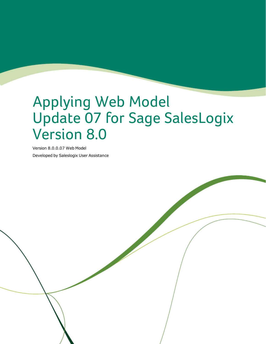# Applying Web Model Update 07 for Sage SalesLogix Version 8.0

Version 8.0.0.07 Web Model Developed by Saleslogix User Assistance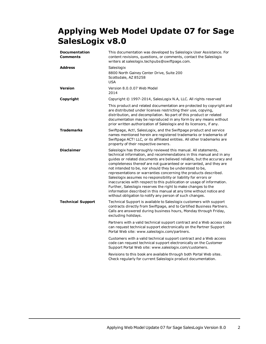# **Applying Web Model Update 07 for Sage SalesLogix v8.0**

| <b>Documentation</b><br><b>Comments</b> | This documentation was developed by Saleslogix User Assistance. For<br>content revisions, questions, or comments, contact the Saleslogix<br>writers at saleslogix.techpubs@swiftpage.com.                                                                                                                                                                                                                                                                                                                                                                                                                                                                                                                                                                                 |
|-----------------------------------------|---------------------------------------------------------------------------------------------------------------------------------------------------------------------------------------------------------------------------------------------------------------------------------------------------------------------------------------------------------------------------------------------------------------------------------------------------------------------------------------------------------------------------------------------------------------------------------------------------------------------------------------------------------------------------------------------------------------------------------------------------------------------------|
| <b>Address</b>                          | Saleslogix<br>8800 North Gainey Center Drive, Suite 200<br>Scottsdale, AZ 85258<br><b>USA</b>                                                                                                                                                                                                                                                                                                                                                                                                                                                                                                                                                                                                                                                                             |
| Version                                 | Version 8.0.0.07 Web Model<br>2014                                                                                                                                                                                                                                                                                                                                                                                                                                                                                                                                                                                                                                                                                                                                        |
| Copyright                               | Copyright © 1997-2014, SalesLogix N.A, LLC. All rights reserved                                                                                                                                                                                                                                                                                                                                                                                                                                                                                                                                                                                                                                                                                                           |
|                                         | This product and related documentation are protected by copyright and<br>are distributed under licenses restricting their use, copying,<br>distribution, and decompilation. No part of this product or related<br>documentation may be reproduced in any form by any means without<br>prior written authorization of Saleslogix and its licensors, if any.                                                                                                                                                                                                                                                                                                                                                                                                                |
| <b>Trademarks</b>                       | Swiftpage, Act!, SalesLogix, and the Swiftpage product and service<br>names mentioned herein are registered trademarks or trademarks of<br>Swiftpage ACT! LLC, or its affiliated entities. All other trademarks are<br>property of their respective owners.                                                                                                                                                                                                                                                                                                                                                                                                                                                                                                               |
| <b>Disclaimer</b>                       | Saleslogix has thoroughly reviewed this manual. All statements,<br>technical information, and recommendations in this manual and in any<br>guides or related documents are believed reliable, but the accuracy and<br>completeness thereof are not guaranteed or warranted, and they are<br>not intended to be, nor should they be understood to be,<br>representations or warranties concerning the products described.<br>Saleslogix assumes no responsibility or liability for errors or<br>inaccuracies with respect to this publication or usage of information.<br>Further, Saleslogix reserves the right to make changes to the<br>information described in this manual at any time without notice and<br>without obligation to notify any person of such changes. |
| <b>Technical Support</b>                | Technical Support is available to Saleslogix customers with support<br>contracts directly from Swiftpage, and to Certified Business Partners.<br>Calls are answered during business hours, Monday through Friday,<br>excluding holidays.                                                                                                                                                                                                                                                                                                                                                                                                                                                                                                                                  |
|                                         | Partners with a valid technical support contract and a Web access code<br>can request technical support electronically on the Partner Support<br>Portal Web site: www.saleslogix.com/partners.                                                                                                                                                                                                                                                                                                                                                                                                                                                                                                                                                                            |
|                                         | Customers with a valid technical support contract and a Web access<br>code can request technical support electronically on the Customer<br>Support Portal Web site: www.saleslogix.com/customers.                                                                                                                                                                                                                                                                                                                                                                                                                                                                                                                                                                         |
|                                         | Revisions to this book are available through both Portal Web sites.<br>Check regularly for current Saleslogix product documentation.                                                                                                                                                                                                                                                                                                                                                                                                                                                                                                                                                                                                                                      |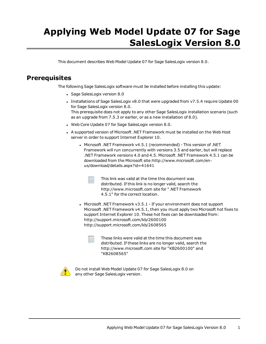# **Applying Web Model Update 07 for Sage SalesLogix Version 8.0**

This document describes Web Model Update 07 for Sage SalesLogix version 8.0.

# **Prerequisites**

The following Sage SalesLogix software must be installed before installing this update:

- Sage SalesLogix version 8.0
- Installations of Sage SalesLogix v8.0 that were upgraded from v7.5.4 require Update 00 for Sage SalesLogix version 8.0. This prerequisite does not apply to any other Sage SalesLogix installation scenario (such as an upgrade from 7.5.3 or earlier, or as a new installation of 8.0).
- . Web Core Update 07 for Sage SalesLogix version 8.0.
- <sup>l</sup> A supported version of Microsoft .NET [Framework](http://www.microsoft.com/en-us/download/details.aspx?id=30653) must be installed on the Web Host server in order to support [Internet](http://www.microsoft.com/en-us/download/details.aspx?id=30653) Explorer 10.
	- <sup>l</sup> Microsoft .NET Framework v4.5.1 [\(recommended\)](http://www.microsoft.com/en-us/download/details.aspx?id=30653) This version of .NET Framework will run [concurrently](http://www.microsoft.com/en-us/download/details.aspx?id=30653) with versions 3.5 and earlier, but will replace .NET [Framework](http://www.microsoft.com/en-us/download/details.aspx?id=30653) versions 4.0 and 4.5. Microsoft .NET Framework 4.5.1 can be downloaded from the Microsoft [site:http://www.microsoft.com/en](http://www.microsoft.com/en-us/download/details.aspx?id=30653)[us/download/details.aspx?id=41641](http://www.microsoft.com/en-us/download/details.aspx?id=30653)
		- This link was valid at the time this document was distributed. If this link is no longer valid, search the http://www.microsoft.com site for ".NET Framework 4.5.1" for the correct location.
	- Microsoft .NET Framework  $v3.5.1$  If your environment does not support Microsoft .NET Framework v4.5.1, then you must apply two Microsoft hot fixes to support Internet Explorer 10. These hot fixes can be downloaded from: http://support.microsoft.com/kb/2600100 http://support.microsoft.com/kb/2608565

These links were valid at the time this document was distributed. If these links are no longer valid, search the http://www.microsoft.com site for "KB2600100" and "KB2608565"



Do not install Web Model Update 07 for Sage SalesLogix 8.0 on any other Sage SalesLogix version.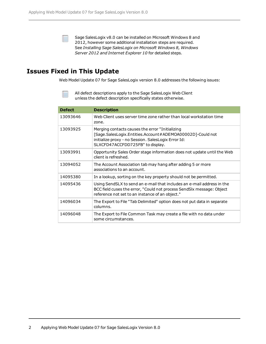Sage SalesLogix v8.0 can be installed on Microsoft Windows 8 and 2012, however some additional installation steps are required. See *Installing Sage SalesLogix on Microsoft Windows 8, Windows Server 2012 and Internet Explorer 10* for detailed steps.

# **Issues Fixed in This Update**

Web Model Update 07 for Sage SalesLogix version 8.0 addresses the following issues:

| <b>Defect</b> | <b>Description</b>                                                                                                                                                                                      |
|---------------|---------------------------------------------------------------------------------------------------------------------------------------------------------------------------------------------------------|
| 13093646      | Web Client uses server time zone rather than local workstation time<br>zone.                                                                                                                            |
| 13093925      | Merging contacts causes the error "Initializing<br>[Sage.SalesLogix.Entities.Account#ADEMOA00002D]-Could not<br>initialize proxy - no Session. SalesLogix Error Id:<br>SLXCFD47ACCFDD725FB" to display. |
| 13093991      | Opportunity Sales Order stage information does not update until the Web<br>client is refreshed.                                                                                                         |
| 13094052      | The Account Association tab may hang after adding 5 or more<br>associations to an account.                                                                                                              |
| 14095380      | In a lookup, sorting on the key property should not be permitted.                                                                                                                                       |
| 14095436      | Using SendSLX to send an e-mail that includes an e-mail address in the<br>BCC field cuses the error, "Could not process SendSIx message: Object<br>reference not set to an instance of an object."      |
| 14096034      | The Export to File "Tab Delimited" option does not put data in separate<br>columns.                                                                                                                     |
| 14096048      | The Export to File Common Task may create a file with no data under<br>some circumstances.                                                                                                              |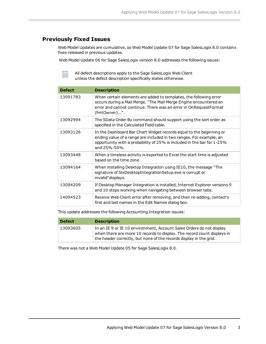#### **Previously Fixed Issues**

Web Model Updates are cumulative, so Web Model Update 07 for Sage SalesLogix 8.0 contains fixes released in previous updates.

Web Model Update 06 for Sage SalesLogix version 8.0 addresses the following issues:

All defect descriptions apply to the Sage SalesLogix Web Client unless the defect description specifically states otherwise.

| <b>Defect</b> | <b>Description</b>                                                                                                                                                                                                                        |
|---------------|-------------------------------------------------------------------------------------------------------------------------------------------------------------------------------------------------------------------------------------------|
| 13091783      | When certain elements are added to templates, the following error<br>occurs during a Mail Merge, "The Mail Merge Engine encountered an<br>error and cannot continue. There was an error in OnRequestFormat<br>(fmtOwner)".                |
| 13092994      | The SData Order By command should support using the sort order as<br>specified in the Calculated Field table.                                                                                                                             |
| 13093126      | In the Dashboard Bar Chart Widget records equal to the beginning or<br>ending value of a range are included in two ranges. For example, an<br>opportunity with a probability of 25% is included in the bar for 1-25%<br>and $25% - 50%$ . |
| 13093448      | When a timeless activity is exported to Excel the start time is adjusted<br>hased on the time zone.                                                                                                                                       |
| 13094164      | When installing Desktop Integration using IE10, the message "The<br>signature of SIxDesktopIntegrationSetup.exe is corrupt or<br>invalid" displays.                                                                                       |
| 13094209      | If Desktop Manager Integration is installed, Internet Explorer versions 9<br>and 10 stops working when navigating between browser tabs.                                                                                                   |
| 14094523      | Receive Web Client error after removing, and then re-adding, contact's<br>first and last names in the Edit Names dialog box.                                                                                                              |

This update addresses the following Accounting Integration issues:

| <b>Defect</b> | <b>Description</b>                                                                                                                                                                                                    |
|---------------|-----------------------------------------------------------------------------------------------------------------------------------------------------------------------------------------------------------------------|
| 13093605      | In an IE 9 or IE 10 environment, Account Sales Orders do not display<br>when there are more 10 records to display. The record count displays in<br>the header correctly, but none of the records display in the grid. |

There was not a Web Model Update 05 for Sage SalesLogix 8.0.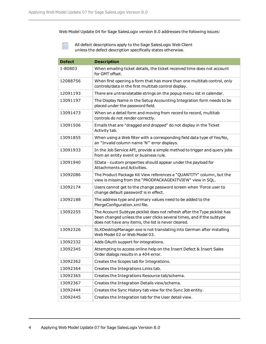Web Model Update 04 for Sage SalesLogix version 8.0 addresses the following issues:

| <b>Defect</b> | <b>Description</b>                                                                                                                                                                                        |
|---------------|-----------------------------------------------------------------------------------------------------------------------------------------------------------------------------------------------------------|
| 1-80803       | When emailing ticket details, the ticket received time does not account<br>for GMT offset.                                                                                                                |
| 12088756      | When first opening a form that has more than one multitab control, only<br>controls/data in the first multitab control display.                                                                           |
| 12091193      | There are untranslatable strings on the popup menu list in calendar.                                                                                                                                      |
| 13091197      | The Display Name in the Setup Accounting Integration form needs to be<br>placed under the password field.                                                                                                 |
| 13091473      | When on a detail form and moving from record to record, multitab<br>controls do not render correctly.                                                                                                     |
| 13091506      | Emails that are "dragged and dropped" do not display in the Ticket<br>Activity tab.                                                                                                                       |
| 13091855      | When using a Web filter with a corresponding field data type of Yes/No,<br>an "Invalid column name 'N'" error displays.                                                                                   |
| 13091933      | In the Job Service API, provide a simple method to trigger and query jobs<br>from an entity event or business rule.                                                                                       |
| 13091940      | SData - custom properties should appear under the payload for<br>Attachments and Activities.                                                                                                              |
| 13092086      | The Product Package Kit View references a "QUANTITY" column, but the<br>view is missing from the "PRODPACKAGEKITVIEW" view in SQL.                                                                        |
| 13092174      | Users cannot get to the change password screen when 'Force user to<br>change default password' is in effect.                                                                                              |
| 13092188      | The address type and primary values need to be added to the<br>MergeConfiguration.xml file.                                                                                                               |
| 13092255      | The Account Subtype picklist does not refresh after the Type picklist has<br>been changed unless the user clicks several times, and if the subtype<br>does not have any items, the list is never cleared. |
| 13092326      | SLXDesktopManager.exe is not translating into German after installing<br>Web Model 02 or Web Model 03,                                                                                                    |
| 13092332      | Adds OAuth support for integrations.                                                                                                                                                                      |
| 13092345      | Attempting to access online help on the Insert Defect & Insert Sales<br>Order dialogs results in a 404 error.                                                                                             |
| 13092362      | Creates the Scopes tab for Integrations.                                                                                                                                                                  |
| 13092364      | Creates the Integrations Links tab.                                                                                                                                                                       |
| 13092365      | Creates the Integrations Resource tab/schema.                                                                                                                                                             |
| 13092367      | Creates the Integration Details view/schema.                                                                                                                                                              |
| 13092444      | Creates the Sync History tab view for the Sync Job entity.                                                                                                                                                |
| 13092445      | Creates the Integration tab for the User detail view.                                                                                                                                                     |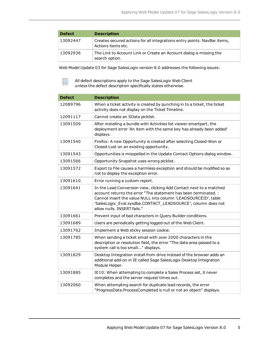| <b>Defect</b> | <b>Description</b>                                                                             |
|---------------|------------------------------------------------------------------------------------------------|
| 13092447      | Creates secured actions for all integrations entry points: NavBar items,<br>Actions items etc. |
| 13092936      | The Link to Account Link or Create an Account dialog is missing the<br>search option.          |

Web Model Update 03 for Sage SalesLogix version 8.0 addresses the following issues:

| <b>Defect</b> | <b>Description</b>                                                                                                                                                                                                                                                                                      |
|---------------|---------------------------------------------------------------------------------------------------------------------------------------------------------------------------------------------------------------------------------------------------------------------------------------------------------|
| 12089796      | When a ticket activity is created by punching in to a ticket, the ticket<br>activity does not display on the Ticket Timeline.                                                                                                                                                                           |
| 12091117      | Cannot create an SData picklist.                                                                                                                                                                                                                                                                        |
| 13091509      | After installing a bundle with Activities list viewer smartpart, the<br>deployment error 'An item with the same key has already been added'<br>displays.                                                                                                                                                |
| 13091540      | Firefox: A new Opportunity is created after selecting Closed-Won or<br>Closed-Lost on an existing opportunity.                                                                                                                                                                                          |
| 13091543      | Opportunities is misspelled in the Update Contact Options dialog window.                                                                                                                                                                                                                                |
| 13091566      | Opportunity Snapshot uses wrong picklist.                                                                                                                                                                                                                                                               |
| 13091572      | Export to File causes a harmless exception and should be modified so as<br>not to display the exception error.                                                                                                                                                                                          |
| 13091610      | Error running a custom report.                                                                                                                                                                                                                                                                          |
| 13091641      | In the Lead Conversion view, clicking Add Contact next to a matched<br>account returns the error "The statement has been terminated. :<br>Cannot insert the value NULL into column 'LEADSOURCEID', table<br>'SalesLogix_Eval.sysdba.CONTACT_LEADSOURCE'; column does not<br>allow nulls. INSERT fails." |
| 13091661      | Prevent input of bad characters in Query Builder conditions.                                                                                                                                                                                                                                            |
| 13091689      | Users are periodically getting logged out of the Web Client.                                                                                                                                                                                                                                            |
| 13091762      | Implement a Web sticky session cookie.                                                                                                                                                                                                                                                                  |
| 13091785      | When sending a ticket email with over 2000 characters in the<br>description or resolution field, the error "The data area passed to a<br>system call is too small" displays.                                                                                                                            |
| 13091829      | Desktop Integration install from drive instead of the browser adds an<br>additional add-on in IE called Sage SalesLogix Desktop Integration<br>Module Helper.                                                                                                                                           |
| 13091885      | IE10: When attempting to complete a Sales Process set, it never<br>completes and the server request times out.                                                                                                                                                                                          |
| 13092060      | When attempting search for duplicate lead records, the error<br>"ProgressData.ProcessCompleted is null or not an object" displays.                                                                                                                                                                      |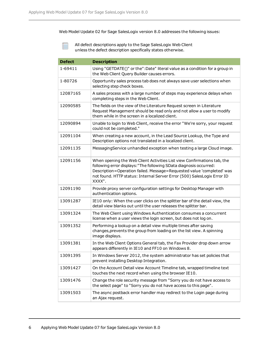Web Model Update 02 for Sage SalesLogix version 8.0 addresses the following issues:

| <b>Defect</b> | <b>Description</b>                                                                                                                                                                                                                                                                                          |
|---------------|-------------------------------------------------------------------------------------------------------------------------------------------------------------------------------------------------------------------------------------------------------------------------------------------------------------|
| 1-69411       | Using "GETDATE()" or the":Date" literal value as a condition for a group in<br>the Web Client Query Builder causes errors.                                                                                                                                                                                  |
| 1-80726       | Opportunity sales process tab does not always save user selections when<br>selecting step check boxes.                                                                                                                                                                                                      |
| 12087165      | A sales process with a large number of steps may experience delays when<br>completing steps in the Web Client.                                                                                                                                                                                              |
| 12090585      | The fields on the view of the Literature Request screen in Literature<br>Request Management should be read only and not allow a user to modify<br>them while in the screen in a localized client.                                                                                                           |
| 12090894      | Unable to login to Web Client, receive the error "We're sorry, your request<br>could not be completed."                                                                                                                                                                                                     |
| 12091104      | When creating a new account, in the Lead Source Lookup, the Type and<br>Description options not translated in a localized client.                                                                                                                                                                           |
| 12091135      | MessagingService unhandled exception when testing a large Cloud image.                                                                                                                                                                                                                                      |
| 12091156      | When opening the Web Client Activities List view Confirmations tab, the<br>following error displays: "The following SData diagnosis occurred:<br>Description=Operation failed. Message=Requested value 'completed' was<br>not found. HTTP status: Internal Server Error (500) SalesLogix Error ID<br>XXXX". |
| 12091190      | Provide proxy server configuration settings for Desktop Manager with<br>authentication options.                                                                                                                                                                                                             |
| 13091287      | IE10 only: When the user clicks on the splitter bar of the detail view, the<br>detail view blanks out until the user releases the splitter bar.                                                                                                                                                             |
| 13091324      | The Web Client using Windows Authentication consumes a concurrent<br>license when a user views the login screen, but does not log on.                                                                                                                                                                       |
| 13091352      | Performing a lookup on a detail view multiple times after saving<br>changes, prevents the group from loading on the list view. A spinning<br>image displays.                                                                                                                                                |
| 13091381      | In the Web Client Options General tab, the Fax Provider drop down arrow<br>appears differently in IE10 and FF10 on Windows 8.                                                                                                                                                                               |
| 13091395      | In Windows Server 2012, the system administrator has set policies that<br>prevent installing Desktop Integration.                                                                                                                                                                                           |
| 13091427      | On the Account Detail view Account Timeline tab, wrapped timeline text<br>touches the next record when using the browser IE10.                                                                                                                                                                              |
| 13091476      | Change the role security message from "Sorry you do not have access to<br>the select page" to "Sorry you do not have access to this page".                                                                                                                                                                  |
| 13091503      | The async postback error handler may redirect to the Login page during<br>an Ajax request.                                                                                                                                                                                                                  |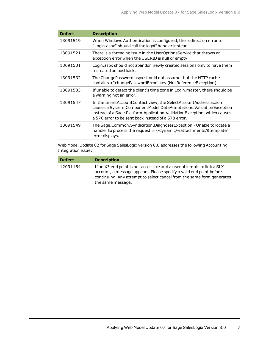| <b>Defect</b> | <b>Description</b>                                                                                                                                                                                                                                                         |
|---------------|----------------------------------------------------------------------------------------------------------------------------------------------------------------------------------------------------------------------------------------------------------------------------|
| 13091519      | When Windows Authentication is configured, the redirect on error to<br>"Login.aspx" should call the logoff handler instead.                                                                                                                                                |
| 13091521      | There is a threading issue in the UserOptionsService that throws an<br>exception error when the USERID is null or empty.                                                                                                                                                   |
| 13091531      | Login.aspx should not abandon newly created sessions only to have them<br>recreated on postback.                                                                                                                                                                           |
| 13091532      | The ChangePassword.aspx should not assume that the HTTP cache<br>contains a "changePasswordError" key (NullReferenceException).                                                                                                                                            |
| 13091533      | If unable to detect the client's time zone in Login. master, there should be<br>a warning not an error.                                                                                                                                                                    |
| 13091547      | In the InsertAccountContact view, the SelectAccountAddress action<br>causes a System.ComponentModel.DataAnnotations.ValidationException<br>instead of a Sage.Platform.Application.ValidationException, which causes<br>a 576 error to be sent back instead of a 578 error. |
| 13091549      | The Sage.Common.Syndication.DiagnosesException - Unable to locate a<br>handler to process the request 'slx/dynamic/-/attachments/\$template'<br>error displays.                                                                                                            |

Web Model Update 02 for Sage SalesLogix version 8.0 addresses the following Accounting Integration issue:

| <b>Defect</b> | <b>Description</b>                                                                                                                                                                                                                          |
|---------------|---------------------------------------------------------------------------------------------------------------------------------------------------------------------------------------------------------------------------------------------|
| 12091154      | If an X3 end point is not accessible and a user attempts to link a SLX<br>account, a message appears. Please specify a valid end point before<br>continuing. Any attempt to select cancel from the same form generates<br>the same message. |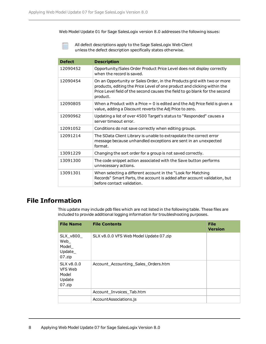Web Model Update 01 for Sage SalesLogix version 8.0 addresses the following issues:

All defect descriptions apply to the Sage SalesLogix Web Client unless the defect description specifically states otherwise.

| <b>Defect</b> | <b>Description</b>                                                                                                                                                                                                                             |
|---------------|------------------------------------------------------------------------------------------------------------------------------------------------------------------------------------------------------------------------------------------------|
| 12090452      | Opportunity/Sales Order Product Price Level does not display correctly<br>when the record is saved.                                                                                                                                            |
| 12090454      | On an Opportunity or Sales Order, in the Products grid with two or more<br>products, editing the Price Level of one product and clicking within the<br>Price Level field of the second causes the field to go blank for the second<br>product. |
| 12090805      | When a Product with a Price $= 0$ is edited and the Adj Price field is given a<br>value, adding a Discount reverts the Adj Price to zero.                                                                                                      |
| 12090962      | Updating a list of over 4500 Target's status to "Responded" causes a<br>server timeout error.                                                                                                                                                  |
| 12091052      | Conditions do not save correctly when editing groups.                                                                                                                                                                                          |
| 12091214      | The SData Client Library is unable to extrapolate the correct error<br>message because unhandled exceptions are sent in an unexpected<br>format.                                                                                               |
| 13091229      | Changing the sort order for a group is not saved correctly.                                                                                                                                                                                    |
| 13091300      | The code snippet action associated with the Save button performs<br>unnecessary actions.                                                                                                                                                       |
| 13091301      | When selecting a different account in the "Look for Matching<br>Records" Smart Parts, the account is added after account validation, but<br>before contact validation.                                                                         |

### **File Information**

This update may include pdb files which are not listed in the following table. These files are included to provide additional logging information for troubleshooting purposes.

| <b>File Name</b>                                        | <b>File Contents</b>                   | <b>File</b><br><b>Version</b> |
|---------------------------------------------------------|----------------------------------------|-------------------------------|
| SLX_v800_<br>Web<br>Model_<br>Update_<br>$07$ .zip      | SLX v8.0.0 VFS Web Model Update 07.zip |                               |
| $SLX$ v $8.0.0$<br>VFS Web<br>Model<br>Update<br>07.zip | Account_Accounting_Sales_Orders.htm    |                               |
|                                                         | Account_Invoices_Tab.htm               |                               |
|                                                         | AccountAssociations.js                 |                               |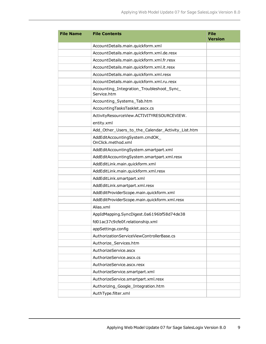| <b>File Name</b> | <b>File Contents</b>                                     | <b>File</b><br><b>Version</b> |
|------------------|----------------------------------------------------------|-------------------------------|
|                  | AccountDetails.main.quickform.xml                        |                               |
|                  | AccountDetails.main.quickform.xml.de.resx                |                               |
|                  | AccountDetails.main.quickform.xml.fr.resx                |                               |
|                  | AccountDetails.main.quickform.xml.it.resx                |                               |
|                  | AccountDetails.main.quickform.xml.resx                   |                               |
|                  | AccountDetails.main.quickform.xml.ru.resx                |                               |
|                  | Accounting_Integration_Troubleshoot_Sync_<br>Service.htm |                               |
|                  | Accounting_Systems_Tab.htm                               |                               |
|                  | AccountingTasksTasklet.ascx.cs                           |                               |
|                  | ActivityResourceView.ACTIVITYRESOURCEVIEW.               |                               |
|                  | entity.xml                                               |                               |
|                  | Add_Other_Users_to_the_Calendar_Activity_List.htm        |                               |
|                  | AddEditAccountingSystem.cmdOK<br>OnClick.method.xml      |                               |
|                  | AddEditAccountingSystem.smartpart.xml                    |                               |
|                  | AddEditAccountingSystem.smartpart.xml.resx               |                               |
|                  | AddEditLink.main.quickform.xml                           |                               |
|                  | AddEditLink.main.quickform.xml.resx                      |                               |
|                  | AddEditLink.smartpart.xml                                |                               |
|                  | AddEditLink.smartpart.xml.resx                           |                               |
|                  | AddEditProviderScope.main.quickform.xml                  |                               |
|                  | AddEditProviderScope.main.quickform.xml.resx             |                               |
|                  | Alias.xml                                                |                               |
|                  | AppIdMapping.SyncDigest.0a6196bf58d74de38                |                               |
|                  | fd01ac37c9cfe0f.relationship.xml                         |                               |
|                  | appSettings.config                                       |                               |
|                  | AuthorizationServiceViewControllerBase.cs                |                               |
|                  | Authorize_Services.htm                                   |                               |
|                  | AuthorizeService.ascx                                    |                               |
|                  | AuthorizeService.ascx.cs                                 |                               |
|                  | AuthorizeService.ascx.resx                               |                               |
|                  | AuthorizeService.smartpart.xml                           |                               |
|                  | AuthorizeService.smartpart.xml.resx                      |                               |
|                  | Authorizing_Google_Integration.htm                       |                               |
|                  | AuthType.filter.xml                                      |                               |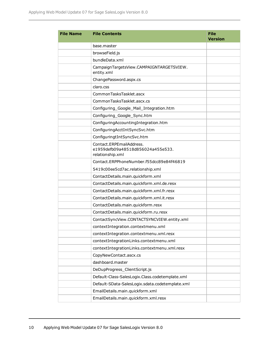| <b>File Name</b> | <b>File Contents</b>                                                              | <b>File</b><br><b>Version</b> |
|------------------|-----------------------------------------------------------------------------------|-------------------------------|
|                  | base.master                                                                       |                               |
|                  | browseField.js                                                                    |                               |
|                  | bundleData.xml                                                                    |                               |
|                  | CampaignTargetsView.CAMPAIGNTARGETSVIEW.<br>entity.xml                            |                               |
|                  | ChangePassword.aspx.cs                                                            |                               |
|                  | claro.css                                                                         |                               |
|                  | CommonTasksTasklet.ascx                                                           |                               |
|                  | CommonTasksTasklet.ascx.cs                                                        |                               |
|                  | Configuring_Google_Mail_Integration.htm                                           |                               |
|                  | Configuring_Google_Sync.htm                                                       |                               |
|                  | ConfiguringAccountingIntegration.htm                                              |                               |
|                  | ConfiguringAcctIntSyncSvc.htm                                                     |                               |
|                  | ConfiguringtIntSyncSvc.htm                                                        |                               |
|                  | Contact.ERPEmailAddress.<br>e1959defb09a48518d856024a455e533.<br>relationship.xml |                               |
|                  | Contact.ERPPhoneNumber.f55dcc89e84f46819                                          |                               |
|                  | 5419c00ee5cd7ac.relationship.xml                                                  |                               |
|                  | ContactDetails.main.quickform.xml                                                 |                               |
|                  | ContactDetails.main.quickform.xml.de.resx                                         |                               |
|                  | ContactDetails.main.quickform.xml.fr.resx                                         |                               |
|                  | ContactDetails.main.quickform.xml.it.resx                                         |                               |
|                  | ContactDetails.main.quickform.resx                                                |                               |
|                  | ContactDetails.main.quickform.ru.resx                                             |                               |
|                  | ContactSyncView.CONTACTSYNCVIEW.entity.xml                                        |                               |
|                  | contextIntegration.contextmenu.xml                                                |                               |
|                  | contextIntegration.contextmenu.xml.resx                                           |                               |
|                  | contextIntegrationLinks.contextmenu.xml                                           |                               |
|                  | contextIntegrationLinks.contextmenu.xml.resx                                      |                               |
|                  | CopyNewContact.ascx.cs                                                            |                               |
|                  | dashboard.master                                                                  |                               |
|                  | DeDupProgress_ClientScript.js                                                     |                               |
|                  | Default-Class-SalesLogix.Class.codetemplate.xml                                   |                               |
|                  | Default-SData-SalesLogix.sdata.codetemplate.xml                                   |                               |
|                  | EmailDetails.main.quickform.xml                                                   |                               |
|                  | EmailDetails.main.quickform.xml.resx                                              |                               |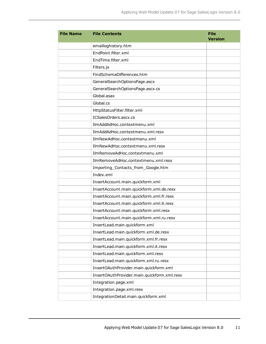| <b>File Name</b> | <b>File Contents</b>                        | <b>File</b><br><b>Version</b> |
|------------------|---------------------------------------------|-------------------------------|
|                  | emailloghistory.htm                         |                               |
|                  | EndPoint.filter.xml                         |                               |
|                  | EndTime.filter.xml                          |                               |
|                  | Filters.js                                  |                               |
|                  | FindSchemaDifferences.htm                   |                               |
|                  | GeneralSearchOptionsPage.ascx               |                               |
|                  | GeneralSearchOptionsPage.ascx.cs            |                               |
|                  | Global.asax                                 |                               |
|                  | Global.cs                                   |                               |
|                  | HttpStatusFilter.filter.xml                 |                               |
|                  | ICSalesOrders.ascx.cs                       |                               |
|                  | IlmAddAdHoc.contextmenu.xml                 |                               |
|                  | IlmAddAdHoc.contextmenu.xml.resx            |                               |
|                  | IlmNewAdHoc.contextmenu.xml                 |                               |
|                  | IlmNewAdHoc.contextmenu.xml.resx            |                               |
|                  | IlmRemoveAdHoc.contextmenu.xml              |                               |
|                  | IlmRemoveAdHoc.contextmenu.xml.resx         |                               |
|                  | Importing_Contacts_from_Google.htm          |                               |
|                  | Index.xml                                   |                               |
|                  | InsertAccount.main.quickform.xml            |                               |
|                  | InsertAccount.main.quickform.xml.de.resx    |                               |
|                  | InsertAccount.main.quickform.xml.fr.resx    |                               |
|                  | InsertAccount.main.quickform.xml.it.resx    |                               |
|                  | InsertAccount.main.quickform.xml.resx       |                               |
|                  | InsertAccount.main.quickform.xml.ru.resx    |                               |
|                  | InsertLead.main.quickform.xml               |                               |
|                  | InsertLead.main.quickform.xml.de.resx       |                               |
|                  | InsertLead.main.quickform.xml.fr.resx       |                               |
|                  | InsertLead.main.quickform.xml.it.resx       |                               |
|                  | InsertLead.main.quickform.xml.resx          |                               |
|                  | InsertLead.main.quickform.xml.ru.resx       |                               |
|                  | InsertOAuthProvider.main.quickform.xml      |                               |
|                  | InsertOAuthProvider.main.quickform.xml.resx |                               |
|                  | Integration.page.xml                        |                               |
|                  | Integration.page.xml.resx                   |                               |
|                  | IntegrationDetail.main.quickform.xml        |                               |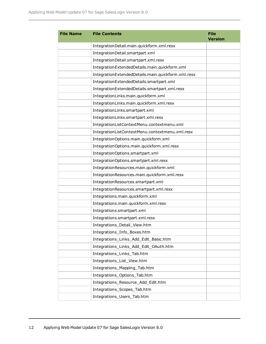| <b>File Name</b> | <b>File Contents</b>                               | <b>File</b><br><b>Version</b> |
|------------------|----------------------------------------------------|-------------------------------|
|                  | IntegrationDetail.main.quickform.xml.resx          |                               |
|                  | IntegrationDetail.smartpart.xml                    |                               |
|                  | IntegrationDetail.smartpart.xml.resx               |                               |
|                  | IntegrationExtendedDetails.main.quickform.xml      |                               |
|                  | IntegrationExtendedDetails.main.quickform.xml.resx |                               |
|                  | IntegrationExtendedDetails.smartpart.xml           |                               |
|                  | IntegrationExtendedDetails.smartpart.xml.resx      |                               |
|                  | IntegrationLinks.main.quickform.xml                |                               |
|                  | IntegrationLinks.main.quickform.xml.resx           |                               |
|                  | IntegrationLinks.smartpart.xml                     |                               |
|                  | IntegrationLinks.smartpart.xml.resx                |                               |
|                  | IntegrationListContextMenu.contextmenu.xml         |                               |
|                  | IntegrationListContextMenu.contextmenu.xml.resx    |                               |
|                  | IntegrationOptions.main.quickform.xml              |                               |
|                  | IntegrationOptions.main.quickform.xml.resx         |                               |
|                  | IntegrationOptions.smartpart.xml                   |                               |
|                  | IntegrationOptions.smartpart.xml.resx              |                               |
|                  | IntegrationResources.main.quickform.xml            |                               |
|                  | IntegrationResources.main.quickform.xml.resx       |                               |
|                  | IntegrationResources.smartpart.xml                 |                               |
|                  | IntegrationResources.smartpart.xml.resx            |                               |
|                  | Integrations.main.quickform.xml                    |                               |
|                  | Integrations.main.quickform.xml.resx               |                               |
|                  | Integrations.smartpart.xml                         |                               |
|                  | Integrations.smartpart.xml.resx                    |                               |
|                  | Integrations_Detail_View.htm                       |                               |
|                  | Integrations_Info_Boxes.htm                        |                               |
|                  | Integrations_Links_Add_Edit_Basic.htm              |                               |
|                  | Integrations_Links_Add_Edit_OAuth.htm              |                               |
|                  | Integrations_Links_Tab.htm                         |                               |
|                  | Integrations_List_View.htm                         |                               |
|                  | Integrations_Mapping_Tab.htm                       |                               |
|                  | Integrations Options Tab.htm                       |                               |
|                  | Integrations_Resource_Add_Edit.htm                 |                               |
|                  | Integrations_Scopes_Tab.htm                        |                               |
|                  | Integrations_Users_Tab.htm                         |                               |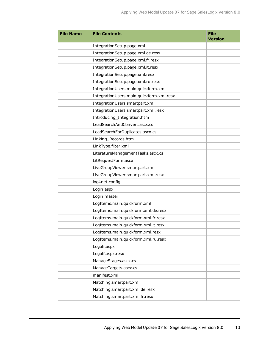| <b>File Name</b> | <b>File Contents</b>                     | <b>File</b><br><b>Version</b> |
|------------------|------------------------------------------|-------------------------------|
|                  | IntegrationSetup.page.xml                |                               |
|                  | IntegrationSetup.page.xml.de.resx        |                               |
|                  | IntegrationSetup.page.xml.fr.resx        |                               |
|                  | IntegrationSetup.page.xml.it.resx        |                               |
|                  | IntegrationSetup.page.xml.resx           |                               |
|                  | IntegrationSetup.page.xml.ru.resx        |                               |
|                  | IntegrationUsers.main.quickform.xml      |                               |
|                  | IntegrationUsers.main.quickform.xml.resx |                               |
|                  | IntegrationUsers.smartpart.xml           |                               |
|                  | IntegrationUsers.smartpart.xml.resx      |                               |
|                  | Introducing_Integration.htm              |                               |
|                  | LeadSearchAndConvert.ascx.cs             |                               |
|                  | LeadSearchForDuplicates.ascx.cs          |                               |
|                  | Linking_Records.htm                      |                               |
|                  | LinkType.filter.xml                      |                               |
|                  | LiteratureManagementTasks.ascx.cs        |                               |
|                  | LitRequestForm.ascx                      |                               |
|                  | LiveGroupViewer.smartpart.xml            |                               |
|                  | LiveGroupViewer.smartpart.xml.resx       |                               |
|                  | log4net.config                           |                               |
|                  | Login.aspx                               |                               |
|                  | Login.master                             |                               |
|                  | LogItems.main.quickform.xml              |                               |
|                  | LogItems.main.quickform.xml.de.resx      |                               |
|                  | LogItems.main.quickform.xml.fr.resx      |                               |
|                  | LogItems.main.quickform.xml.it.resx      |                               |
|                  | LogItems.main.quickform.xml.resx         |                               |
|                  | LogItems.main.quickform.xml.ru.resx      |                               |
|                  | Logoff.aspx                              |                               |
|                  | Logoff.aspx.resx                         |                               |
|                  | ManageStages.ascx.cs                     |                               |
|                  | ManageTargets.ascx.cs                    |                               |
|                  | manifest.xml                             |                               |
|                  | Matching.smartpart.xml                   |                               |
|                  | Matching.smartpart.xml.de.resx           |                               |
|                  | Matching.smartpart.xml.fr.resx           |                               |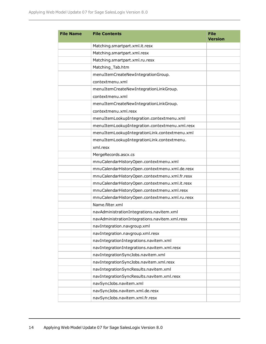| <b>File Name</b> | <b>File Contents</b>                           | <b>File</b><br><b>Version</b> |
|------------------|------------------------------------------------|-------------------------------|
|                  | Matching.smartpart.xml.it.resx                 |                               |
|                  | Matching.smartpart.xml.resx                    |                               |
|                  | Matching.smartpart.xml.ru.resx                 |                               |
|                  | Matching_Tab.htm                               |                               |
|                  | menuItemCreateNewIntegrationGroup.             |                               |
|                  | contextmenu.xml                                |                               |
|                  | menuItemCreateNewIntegrationLinkGroup.         |                               |
|                  | contextmenu.xml                                |                               |
|                  | menuItemCreateNewIntegrationLinkGroup.         |                               |
|                  | contextmenu.xml.resx                           |                               |
|                  | menuItemLookupIntegration.contextmenu.xml      |                               |
|                  | menuItemLookupIntegration.contextmenu.xml.resx |                               |
|                  | menuItemLookupIntegrationLink.contextmenu.xml  |                               |
|                  | menuItemLookupIntegrationLink.contextmenu.     |                               |
|                  | xml.resx                                       |                               |
|                  | MergeRecords.ascx.cs                           |                               |
|                  | mnuCalendarHistoryOpen.contextmenu.xml         |                               |
|                  | mnuCalendarHistoryOpen.contextmenu.xml.de.resx |                               |
|                  | mnuCalendarHistoryOpen.contextmenu.xml.fr.resx |                               |
|                  | mnuCalendarHistoryOpen.contextmenu.xml.it.resx |                               |
|                  | mnuCalendarHistoryOpen.contextmenu.xml.resx    |                               |
|                  | mnuCalendarHistoryOpen.contextmenu.xml.ru.resx |                               |
|                  | Name.filter.xml                                |                               |
|                  | navAdministrationIntegrations.navitem.xml      |                               |
|                  | navAdministrationIntegrations.navitem.xml.resx |                               |
|                  | navIntegration.navgroup.xml                    |                               |
|                  | navIntegration.navgroup.xml.resx               |                               |
|                  | navIntegrationIntegrations.navitem.xml         |                               |
|                  | navIntegrationIntegrations.navitem.xml.resx    |                               |
|                  | navIntegrationSyncJobs.navitem.xml             |                               |
|                  | navIntegrationSyncJobs.navitem.xml.resx        |                               |
|                  | navIntegrationSyncResults.navitem.xml          |                               |
|                  | navIntegrationSyncResults.navitem.xml.resx     |                               |
|                  | navSyncJobs.navitem.xml                        |                               |
|                  | navSyncJobs.navitem.xml.de.resx                |                               |
|                  | navSyncJobs.navitem.xml.fr.resx                |                               |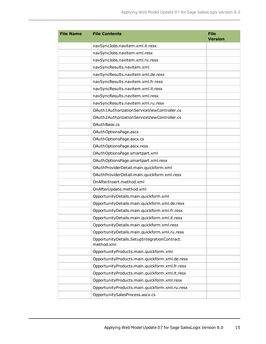| <b>File Name</b> | <b>File Contents</b>                                       | <b>File</b><br><b>Version</b> |
|------------------|------------------------------------------------------------|-------------------------------|
|                  | navSyncJobs.navitem.xml.it.resx                            |                               |
|                  | navSyncJobs.navitem.xml.resx                               |                               |
|                  | navSyncJobs.navitem.xml.ru.resx                            |                               |
|                  | navSyncResults.navitem.xml                                 |                               |
|                  | navSyncResults.navitem.xml.de.resx                         |                               |
|                  | navSyncResults.navitem.xml.fr.resx                         |                               |
|                  | navSyncResults.navitem.xml.it.resx                         |                               |
|                  | navSyncResults.navitem.xml.resx                            |                               |
|                  | navSyncResults.navitem.xml.ru.resx                         |                               |
|                  | OAuth1AuthorizationServiceViewController.cs                |                               |
|                  | OAuth2AuthorizationServiceViewController.cs                |                               |
|                  | OAuthBase.cs                                               |                               |
|                  | OAuthOptionsPage.ascx                                      |                               |
|                  | OAuthOptionsPage.ascx.cs                                   |                               |
|                  | OAuthOptionsPage.ascx.resx                                 |                               |
|                  | OAuthOptionsPage.smartpart.xml                             |                               |
|                  | OAuthOptionsPage.smartpart.xml.resx                        |                               |
|                  | OAuthProviderDetail.main.quickform.xml                     |                               |
|                  | OAuthProviderDetail.main.quickform.xml.resx                |                               |
|                  | OnAfterInsert.method.xml                                   |                               |
|                  | OnAfterUpdate.method.xml                                   |                               |
|                  | OpportunityDetails.main.quickform.xml                      |                               |
|                  | OpportunityDetails.main.quickform.xml.de.resx              |                               |
|                  | OpportunityDetails.main.quickform.xml.fr.resx              |                               |
|                  | OpportunityDetails.main.quickform.xml.it.resx              |                               |
|                  | OpportunityDetails.main.quickform.xml.resx                 |                               |
|                  | OpportunityDetails.main.quickform.xml.ru.resx              |                               |
|                  | OpportunityDetails.SetupIntegrationContract.<br>method.xml |                               |
|                  | OpportunityProducts.main.quickform.xml                     |                               |
|                  | OpportunityProducts.main.quickform.xml.de.resx             |                               |
|                  | OpportunityProducts.main.quickform.xml.fr.resx             |                               |
|                  | OpportunityProducts.main.quickform.xml.it.resx             |                               |
|                  | OpportunityProducts.main.quickform.xml.resx                |                               |
|                  | OpportunityProducts.main.quickform.xml.ru.resx             |                               |
|                  | OpportunitySalesProcess.ascx.cs                            |                               |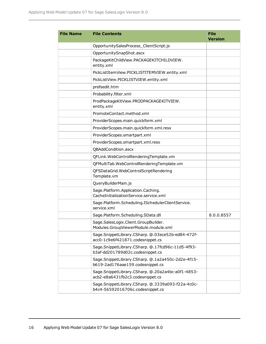| <b>File Name</b> | <b>File Contents</b>                                                                  | <b>File</b><br><b>Version</b> |
|------------------|---------------------------------------------------------------------------------------|-------------------------------|
|                  | OpportunitySalesProcess_ClientScript.js                                               |                               |
|                  | OpportunitySnapShot.ascx                                                              |                               |
|                  | PackageKitChildView.PACKAGEKITCHILDVIEW.<br>entity.xml                                |                               |
|                  | PickListItemView.PICKLISTITEMVIEW.entity.xml                                          |                               |
|                  | PickListView.PICKLISTVIEW.entity.xml                                                  |                               |
|                  | prefsedit.htm                                                                         |                               |
|                  | Probability.filter.xml                                                                |                               |
|                  | ProdPackageKitView.PRODPACKAGEKITVIEW.<br>entity.xml                                  |                               |
|                  | PromoteContact.method.xml                                                             |                               |
|                  | ProviderScopes.main.quickform.xml                                                     |                               |
|                  | ProviderScopes.main.quickform.xml.resx                                                |                               |
|                  | ProviderScopes.smartpart.xml                                                          |                               |
|                  | ProviderScopes.smartpart.xml.resx                                                     |                               |
|                  | QBAddCondition.ascx                                                                   |                               |
|                  | QFLink.WebControlRenderingTemplate.vm                                                 |                               |
|                  | QFMultiTab.WebControlRenderingTemplate.vm                                             |                               |
|                  | QFSDataGrid.WebControlScriptRendering<br>Template.vm                                  |                               |
|                  | QueryBuilderMain.js                                                                   |                               |
|                  | Sage.Platform.Application.Caching.<br>CacheInitializationService.service.xml          |                               |
|                  | Sage.Platform.Scheduling.ISchedulerClientService.<br>service.xml                      |                               |
|                  | Sage.Platform.Scheduling.SData.dll                                                    | 8.0.0.8557                    |
|                  | Sage.SalesLogix.Client.GroupBuilder.<br>Modules.GroupViewerModule.module.xml          |                               |
|                  | Sage.SnippetLibrary.CSharp. @.03ece52b-ed84-472f-<br>acc0-1c9e6f421871.codesnippet.cs |                               |
|                  | Sage.SnippetLibrary.CSharp. @.17fcd96c-11d5-4f93-<br>b3af-dd201789d02c.codesnippet.cs |                               |
|                  | Sage.SnippetLibrary.CSharp. @.1a2a450c-2d2e-4f15-<br>b619-2ad176aae159.codesnippet.cs |                               |
|                  | Sage.SnippetLibrary.CSharp. @.20a2a4bc-a0f1-4853-<br>acb2-e8a6431fb2c3.codesnippet.cs |                               |
|                  | Sage.SnippetLibrary.CSharp. @.3339a093-f22a-4c0c-<br>b4c4-56592016706c.codesnippet.cs |                               |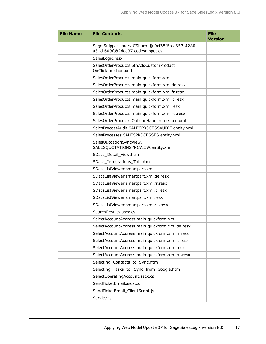| <b>File Name</b> | <b>File Contents</b>                                         | <b>File</b><br><b>Version</b> |
|------------------|--------------------------------------------------------------|-------------------------------|
|                  | Sage.SnippetLibrary.CSharp. @.9cf68f6b-e657-4280-            |                               |
|                  | a31d-609fb82ddd37.codesnippet.cs                             |                               |
|                  | SalesLogix.resx                                              |                               |
|                  | SalesOrderProducts.btnAddCustomProduct<br>OnClick.method.xml |                               |
|                  | SalesOrderProducts.main.quickform.xml                        |                               |
|                  | SalesOrderProducts.main.quickform.xml.de.resx                |                               |
|                  | SalesOrderProducts.main.quickform.xml.fr.resx                |                               |
|                  | SalesOrderProducts.main.quickform.xml.it.resx                |                               |
|                  | SalesOrderProducts.main.quickform.xml.resx                   |                               |
|                  | SalesOrderProducts.main.quickform.xml.ru.resx                |                               |
|                  | SalesOrderProducts.OnLoadHandler.method.xml                  |                               |
|                  | SalesProcessAudit.SALESPROCESSAUDIT.entity.xml               |                               |
|                  | SalesProcesses.SALESPROCESSES.entity.xml                     |                               |
|                  | SalesQuotationSyncView.<br>SALESQUOTATIONSYNCVIEW.entity.xml |                               |
|                  | SData_Detail_view.htm                                        |                               |
|                  | SData_Integrations_Tab.htm                                   |                               |
|                  | SDataListViewer.smartpart.xml                                |                               |
|                  | SDataListViewer.smartpart.xml.de.resx                        |                               |
|                  | SDataListViewer.smartpart.xml.fr.resx                        |                               |
|                  | SDataListViewer.smartpart.xml.it.resx                        |                               |
|                  | SDataListViewer.smartpart.xml.resx                           |                               |
|                  | SDataListViewer.smartpart.xml.ru.resx                        |                               |
|                  | Search Results.ascx.cs                                       |                               |
|                  | SelectAccountAddress.main.quickform.xml                      |                               |
|                  | SelectAccountAddress.main.quickform.xml.de.resx              |                               |
|                  | SelectAccountAddress.main.quickform.xml.fr.resx              |                               |
|                  | SelectAccountAddress.main.quickform.xml.it.resx              |                               |
|                  | SelectAccountAddress.main.quickform.xml.resx                 |                               |
|                  | SelectAccountAddress.main.quickform.xml.ru.resx              |                               |
|                  | Selecting_Contacts_to_Sync.htm                               |                               |
|                  | Selecting_Tasks_to_Sync_from_Google.htm                      |                               |
|                  | SelectOperatingAccount.ascx.cs                               |                               |
|                  | SendTicketEmail.ascx.cs                                      |                               |
|                  | SendTicketEmail_ClientScript.js                              |                               |
|                  | Service.js                                                   |                               |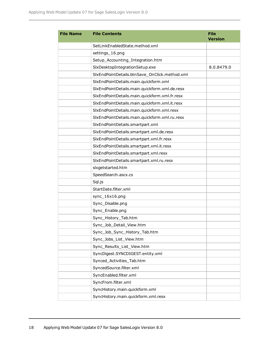| <b>File Name</b> | <b>File Contents</b>                          | <b>File</b><br><b>Version</b> |
|------------------|-----------------------------------------------|-------------------------------|
|                  | SetLinkEnabledState.method.xml                |                               |
|                  | settings_16.png                               |                               |
|                  | Setup_Accounting_Integration.htm              |                               |
|                  | SlxDesktopIntegrationSetup.exe                | 8.0.8479.0                    |
|                  | SlxEndPointDetails.btnSave_OnClick.method.xml |                               |
|                  | SlxEndPointDetails.main.quickform.xml         |                               |
|                  | SlxEndPointDetails.main.quickform.xml.de.resx |                               |
|                  | SlxEndPointDetails.main.quickform.xml.fr.resx |                               |
|                  | SlxEndPointDetails.main.quickform.xml.it.resx |                               |
|                  | SlxEndPointDetails.main.quickform.xml.resx    |                               |
|                  | SlxEndPointDetails.main.quickform.xml.ru.resx |                               |
|                  | SlxEndPointDetails.smartpart.xml              |                               |
|                  | SlxEndPointDetails.smartpart.xml.de.resx      |                               |
|                  | SlxEndPointDetails.smartpart.xml.fr.resx      |                               |
|                  | SlxEndPointDetails.smartpart.xml.it.resx      |                               |
|                  | SlxEndPointDetails.smartpart.xml.resx         |                               |
|                  | SlxEndPointDetails.smartpart.xml.ru.resx      |                               |
|                  | slxgetstarted.htm                             |                               |
|                  | SpeedSearch.ascx.cs                           |                               |
|                  | Sql.js                                        |                               |
|                  | StartDate.filter.xml                          |                               |
|                  | sync_16x16.png                                |                               |
|                  | Sync_Disable.png                              |                               |
|                  | Sync_Enable.png                               |                               |
|                  | Sync_History_Tab.htm                          |                               |
|                  | Sync_Job_Detail_View.htm                      |                               |
|                  | Sync_Job_Sync_History_Tab.htm                 |                               |
|                  | Sync Jobs List View.htm                       |                               |
|                  | Sync_Results_List_View.htm                    |                               |
|                  | SyncDigest.SYNCDIGEST.entity.xml              |                               |
|                  | Synced_Activities_Tab.htm                     |                               |
|                  | SyncedSource.filter.xml                       |                               |
|                  | SyncEnabled.filter.xml                        |                               |
|                  | SyncFrom.filter.xml                           |                               |
|                  | SyncHistory.main.quickform.xml                |                               |
|                  | SyncHistory.main.quickform.xml.resx           |                               |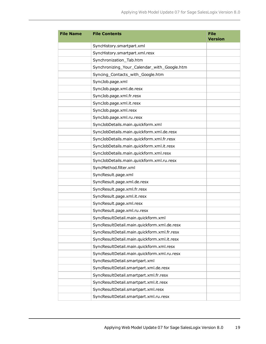| <b>File Name</b> | <b>File Contents</b>                        | <b>File</b><br><b>Version</b> |
|------------------|---------------------------------------------|-------------------------------|
|                  | SyncHistory.smartpart.xml                   |                               |
|                  | SyncHistory.smartpart.xml.resx              |                               |
|                  | Synchronization_Tab.htm                     |                               |
|                  | Synchronizing_Your_Calendar_with_Google.htm |                               |
|                  | Syncing_Contacts_with_Google.htm            |                               |
|                  | SyncJob.page.xml                            |                               |
|                  | SyncJob.page.xml.de.resx                    |                               |
|                  | SyncJob.page.xml.fr.resx                    |                               |
|                  | SyncJob.page.xml.it.resx                    |                               |
|                  | SyncJob.page.xml.resx                       |                               |
|                  | SyncJob.page.xml.ru.resx                    |                               |
|                  | SyncJobDetails.main.quickform.xml           |                               |
|                  | SyncJobDetails.main.quickform.xml.de.resx   |                               |
|                  | SyncJobDetails.main.quickform.xml.fr.resx   |                               |
|                  | SyncJobDetails.main.quickform.xml.it.resx   |                               |
|                  | SyncJobDetails.main.quickform.xml.resx      |                               |
|                  | SyncJobDetails.main.quickform.xml.ru.resx   |                               |
|                  | SyncMethod.filter.xml                       |                               |
|                  | SyncResult.page.xml                         |                               |
|                  | SyncResult.page.xml.de.resx                 |                               |
|                  | SyncResult.page.xml.fr.resx                 |                               |
|                  | SyncResult.page.xml.it.resx                 |                               |
|                  | SyncResult.page.xml.resx                    |                               |
|                  | SyncResult.page.xml.ru.resx                 |                               |
|                  | SyncResultDetail.main.quickform.xml         |                               |
|                  | SyncResultDetail.main.quickform.xml.de.resx |                               |
|                  | SyncResultDetail.main.quickform.xml.fr.resx |                               |
|                  | SyncResultDetail.main.quickform.xml.it.resx |                               |
|                  | SyncResultDetail.main.quickform.xml.resx    |                               |
|                  | SyncResultDetail.main.quickform.xml.ru.resx |                               |
|                  | SyncResultDetail.smartpart.xml              |                               |
|                  | SyncResultDetail.smartpart.xml.de.resx      |                               |
|                  | SyncResultDetail.smartpart.xml.fr.resx      |                               |
|                  | SyncResultDetail.smartpart.xml.it.resx      |                               |
|                  | SyncResultDetail.smartpart.xml.resx         |                               |
|                  | SyncResultDetail.smartpart.xml.ru.resx      |                               |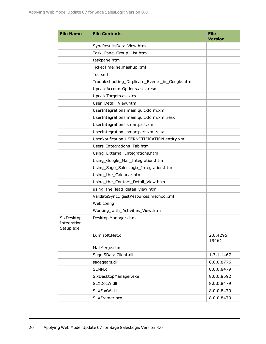| <b>File Name</b>                       | <b>File Contents</b>                           | <b>File</b><br><b>Version</b> |
|----------------------------------------|------------------------------------------------|-------------------------------|
|                                        | SyncResultsDetailView.htm                      |                               |
|                                        | Task_Pane_Group_List.htm                       |                               |
|                                        | taskpane.htm                                   |                               |
|                                        | TicketTimeline.mashup.xml                      |                               |
|                                        | Toc.xml                                        |                               |
|                                        | Troubleshooting_Duplicate_Events_in_Google.htm |                               |
|                                        | UpdateAccountOptions.ascx.resx                 |                               |
|                                        | UpdateTargets.ascx.cs                          |                               |
|                                        | User_Detail_View.htm                           |                               |
|                                        | UserIntegrations.main.quickform.xml            |                               |
|                                        | UserIntegrations.main.quickform.xml.resx       |                               |
|                                        | UserIntegrations.smartpart.xml                 |                               |
|                                        | UserIntegrations.smartpart.xml.resx            |                               |
|                                        | UserNotification.USERNOTIFICATION.entity.xml   |                               |
|                                        | Users_Integrations_Tab.htm                     |                               |
|                                        | Using_External_Integrations.htm                |                               |
|                                        | Using_Google_Mail_Integration.htm              |                               |
|                                        | Using_Sage_SalesLogix_Integration.htm          |                               |
|                                        | Using_the_Calendar.htm                         |                               |
|                                        | Using_the_Contact_Detail_View.htm              |                               |
|                                        | using_the_lead_detail_view.htm                 |                               |
|                                        | ValidateSyncDigestResources.method.xml         |                               |
|                                        | Web.config                                     |                               |
|                                        | Working_with_Activities_View.htm               |                               |
| SlxDesktop<br>Integration<br>Setup.exe | Desktop Manager.chm                            |                               |
|                                        | Lumisoft.Net.dll                               | 2.0.4295.<br>19461            |
|                                        | MailMerge.chm                                  |                               |
|                                        | Sage.SData.Client.dll                          | 1.3.1.1467                    |
|                                        | sagegears.dll                                  | 8.0.0.8776                    |
|                                        | SLMN.dll                                       | 8.0.0.8479                    |
|                                        | SlxDesktopManager.exe                          | 8.0.0.8592                    |
|                                        | SLXDocW.dll                                    | 8.0.0.8479                    |
|                                        | SLXFaxW.dll                                    | 8.0.0.8479                    |
|                                        | SLXFramer.ocx                                  | 8.0.0.8479                    |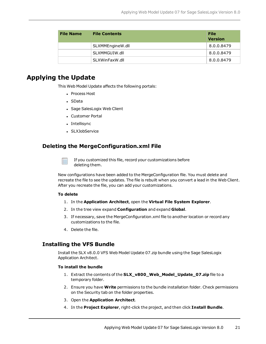| <b>File Name</b> | <b>File Contents</b> | <b>File</b><br><b>Version</b> |
|------------------|----------------------|-------------------------------|
|                  | SLXMMEngineW.dll     | 8.0.0.8479                    |
|                  | SLXMMGUIW.dll        | 8.0.0.8479                    |
|                  | SLXWinFaxW.dll       | 8.0.0.8479                    |

### **Applying the Update**

This Web Model Update affects the following portals:

- Process Host
- . SData
- Sage SalesLogix Web Client
- Customer Portal
- Intellisync
- SLXJobService

#### **Deleting the MergeConfiguration.xml File**

If you customized this file, record your customizations before deleting them.

New configurations have been added to the MergeConfiguration file. You must delete and recreate the file to see the updates. The file is rebuilt when you convert a lead in the Web Client. After you recreate the file, you can add your customizations.

#### **To delete**

- 1. In the **Application Architect**, open the **Virtual File System Explorer**.
- 2. In the tree view expand **Configuration** and expand **Global**.
- 3. If necessary, save the MergeConfiguration.xml file to another location or record any customizations to the file.
- 4. Delete the file.

#### **Installing the VFS Bundle**

Install the SLX v8.0.0 VFS Web Model Update 07.zip bundle using the Sage SalesLogix Application Architect.

#### **To install the bundle**

- 1. Extract the contents of the **SLX\_v800\_Web\_Model\_Update\_07.zip** file to a temporary folder.
- 2. Ensure you have **Write** permissions to the bundle installation folder. Check permissions on the Security tab on the folder properties.
- 3. Open the **Application Architect**.
- 4. In the **Project Explorer**, right-click the project, and then click **Install Bundle**.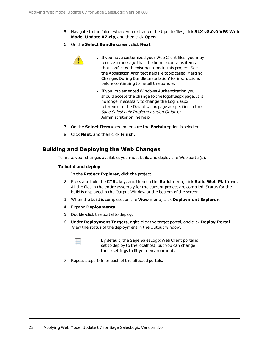- 5. Navigate to the folder where you extracted the Update files, click **SLX v8.0.0 VFS Web Model Update 07.zip**, and then click **Open**.
- 6. On the **Select Bundle** screen, click **Next**.
	- If you have customized your Web Client files, you may receive a message that the bundle contains items that conflict with existing items in this project. See the Application Architect help file topic called 'Merging Changes During Bundle Installation' for instructions before continuing to install the bundle.
		- If you implemented Windows Authentication you should accept the change to the logoff.aspx page. It is no longer necessary to change the Login.aspx reference to the Default.aspx page as specified in the *Sage SalesLogix Implementation Guide* or Administrator online help.
- 7. On the **Select Items** screen, ensure the **Portals** option is selected.
- 8. Click **Next**, and then click **Finish**.

#### **Building and Deploying the Web Changes**

To make your changes available, you must build and deploy the Web portal(s).

#### **To build and deploy**

- 1. In the **Project Explorer**, click the project.
- 2. Press and hold the **CTRL** key, and then on the **Build** menu, click **Build Web Platform**. All the files in the entire assembly for the current project are compiled. Status for the build is displayed in the Output Window at the bottom of the screen.
- 3. When the build is complete, on the **View** menu, click **Deployment Explorer**.
- 4. Expand **Deployments**.
- 5. Double-click the portal to deploy.
- 6. Under **Deployment Targets**, right-click the target portal, and click **Deploy Portal**. View the status of the deployment in the Output window.



• By default, the Sage SalesLogix Web Client portal is set to deploy to the localhost, but you can change these settings to fit your environment.

7. Repeat steps 1-6 for each of the affected portals.